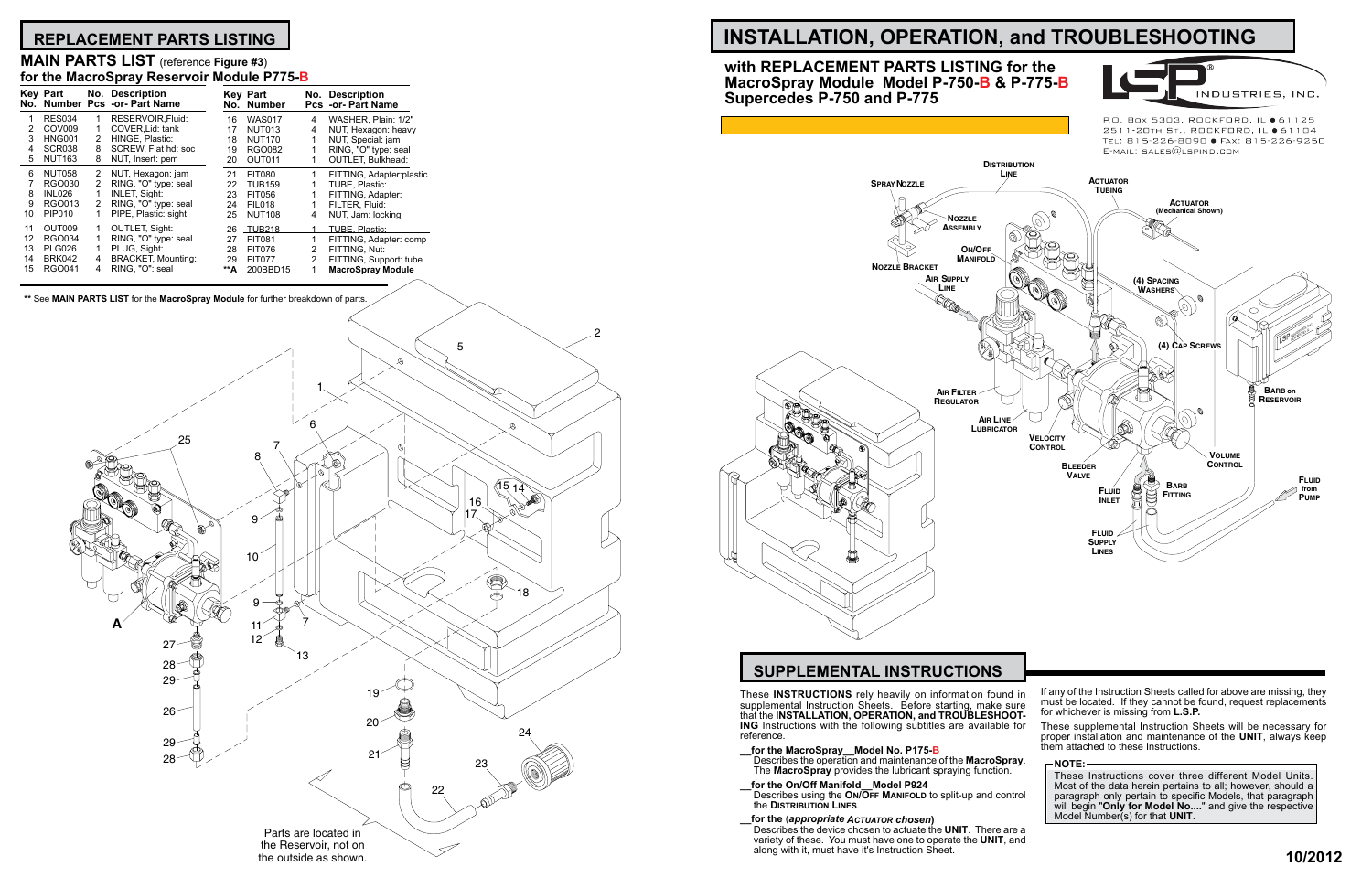# **REPLACEMENT PARTS LISTING INSTALLATION, OPERATION, and TROUBLESHOOTING**

# **MAIN PARTS LIST** (reference **Figure #3**) **for the MacroSpray Reservoir Module P775-B**

|    | <b>Key Part</b>    |   | No. Description<br>No. Number Pcs -or- Part Name |     | <b>Key Part</b><br>No. Number |   | <b>No. Description</b><br><b>Pcs -or- Part Name</b> |  |
|----|--------------------|---|--------------------------------------------------|-----|-------------------------------|---|-----------------------------------------------------|--|
|    | <b>RES034</b>      | 1 | RESERVOIR.Fluid:                                 | 16  | <b>WAS017</b>                 | 4 | WASHER, Plain: 1/2"                                 |  |
| 2  | COV <sub>009</sub> |   | COVER.Lid: tank                                  | 17  | <b>NUT013</b>                 | 4 | NUT, Hexagon: heavy                                 |  |
| 3  | <b>HNG001</b>      | 2 | HINGE, Plastic:                                  | 18  | <b>NUT170</b>                 |   | NUT, Special: jam                                   |  |
| 4  | <b>SCR038</b>      | 8 | SCREW, Flat hd: soc                              | 19  | <b>RGO082</b>                 |   | RING, "O" type: seal                                |  |
| 5  | <b>NUT163</b>      | 8 | NUT, Insert: pem                                 | 20  | OUT011                        |   | <b>OUTLET, Bulkhead:</b>                            |  |
| 6  | <b>NUT058</b>      | 2 | NUT, Hexagon: jam                                | 21  | <b>FIT080</b>                 | 1 | FITTING, Adapter:plastic                            |  |
|    | <b>RGO030</b>      | 2 | RING, "O" type: seal                             | 22  | <b>TUB159</b>                 |   | TUBE, Plastic:                                      |  |
| 8  | <b>INL026</b>      | 1 | <b>INLET, Sight:</b>                             | 23  | <b>FIT056</b>                 |   | FITTING, Adapter:                                   |  |
| 9  | RGO013             | 2 | RING, "O" type: seal                             | 24  | <b>FIL018</b>                 |   | FILTER, Fluid:                                      |  |
| 10 | PIP010             | 1 | PIPE, Plastic: sight                             | 25  | <b>NUT108</b>                 | 4 | NUT, Jam: locking                                   |  |
| 11 | -QUT009            |   | OUTLET, Sight:                                   | 26  | <b>TUR218</b>                 |   | <b>TUBE, Plastic:</b>                               |  |
| 12 | <b>RGO034</b>      | 1 | RING, "O" type: seal                             | 27  | <b>FIT081</b>                 | 1 | FITTING, Adapter: comp                              |  |
| 13 | <b>PLG026</b>      | 1 | PLUG, Sight:                                     | 28  | <b>FIT076</b>                 | 2 | FITTING. Nut:                                       |  |
| 14 | <b>BRK042</b>      | 4 | <b>BRACKET, Mounting:</b>                        | 29  | <b>FIT077</b>                 | 2 | FITTING, Support: tube                              |  |
| 15 | <b>RGO041</b>      | 4 | RING, "O": seal                                  | **А | 200BBD15                      | 1 | <b>MacroSpray Module</b>                            |  |
|    |                    |   |                                                  |     |                               |   |                                                     |  |

**\*\*** See **MAIN PARTS LIST** for the **MacroSpray Module** for further breakdown of parts.



These **INSTRUCTIONS** rely heavily on information found in supplemental Instruction Sheets. Before starting, make sure that the **INSTALLATION, OPERATION, and TROUBLESHOOT- ING** Instructions with the following subtitles are available for reference.

**\_\_for the MacroSpray\_\_Model No. P175-B**<br>Describes the operation and maintenance of the MacroSpr The MacroSpray provides the lubricant spraying function.

**\_\_for the On/Off Manifold\_\_Model P924** 

Describes using the **On/Off Manifold** to split-up and control the **Distribution Lines**.

**\_\_for the** (*appropriate Actuator chosen***)** Describes the device chosen to actuate the UNIT. There are variety of these. You must have one to operate the **UNIT**, and along with it, must have it's Instruction Sheet.

P.O. Box 5303, ROCKFORD, IL ● 61125 2511-20TH ST., ROCKFORD, IL ● 61104 TEL: 815-226-8090 · FAX: 815-226-9250

INDUSTRIES, INC.

# **SUPPLEMENTAL INSTRUCTIONS**

**with REPLACEMENT PARTS LISTING for the MacroSpray Module Model P-750-B & P-775-B Supercedes P-750 and P-775**

| d in<br>ure<br>OT- | If any of the Instruction Sheets called for above are missing, they<br>must be located. If they cannot be found, request replacements<br>for whichever is missing from L.S.P.    |
|--------------------|----------------------------------------------------------------------------------------------------------------------------------------------------------------------------------|
| for                | These supplemental Instruction Sheets will be necessary for<br>proper installation and maintenance of the UNIT, always keep<br>them attached to these Instructions.              |
| ray.               | <b>NOTE:</b>                                                                                                                                                                     |
| ıtrol              | These Instructions cover three different Model Units.<br>Most of the data herein pertains to all; however, should a<br>paragraph only pertain to specific Models, that paragraph |
|                    | will begin "Only for Model No" and give the respective<br>Model Number(s) for that UNIT.                                                                                         |
| re a               |                                                                                                                                                                                  |